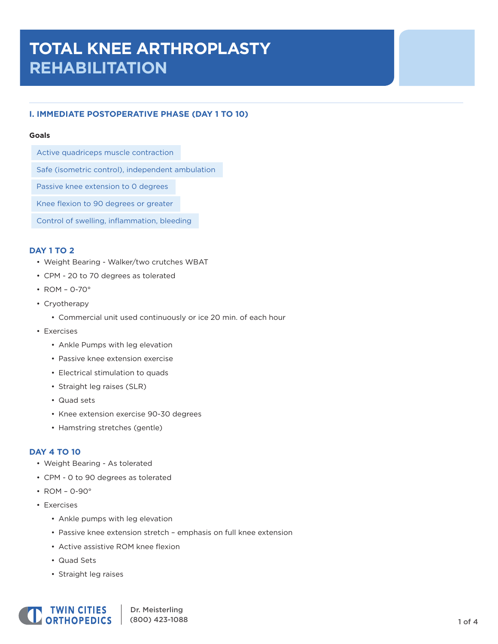# **TOTAL KNEE ARTHROPLASTY REHABILITATION**

# **I. IMMEDIATE POSTOPERATIVE PHASE (DAY 1 TO 10)**

#### **Goals**

Active quadriceps muscle contraction

Safe (isometric control), independent ambulation

Passive knee extension to 0 degrees

Knee flexion to 90 degrees or greater

Control of swelling, inflammation, bleeding

## **DAY 1 TO 2**

- Weight Bearing Walker/two crutches WBAT
- CPM 20 to 70 degrees as tolerated
- ROM 0-70°
- Cryotherapy
	- Commercial unit used continuously or ice 20 min. of each hour
- Exercises
	- Ankle Pumps with leg elevation
	- Passive knee extension exercise
	- Electrical stimulation to quads
	- Straight leg raises (SLR)
	- Quad sets
	- Knee extension exercise 90-30 degrees
	- Hamstring stretches (gentle)

## **DAY 4 TO 10**

- Weight Bearing As tolerated
- CPM 0 to 90 degrees as tolerated
- ROM 0-90°
- Exercises
	- Ankle pumps with leg elevation
	- Passive knee extension stretch emphasis on full knee extension
	- Active assistive ROM knee flexion
	- Quad Sets
	- Straight leg raises

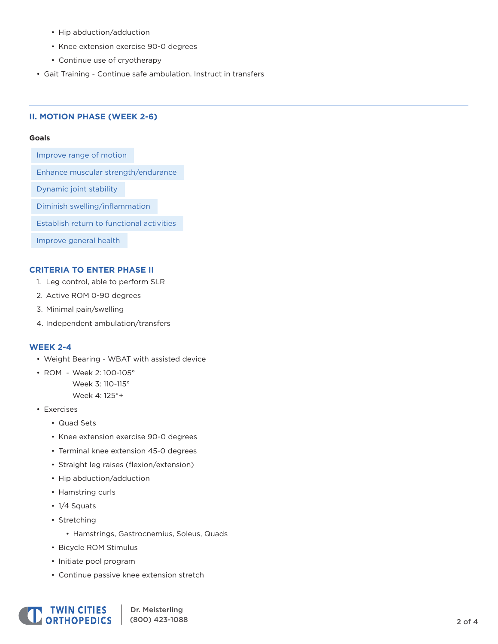- Hip abduction/adduction
- Knee extension exercise 90-0 degrees
- Continue use of cryotherapy
- Gait Training Continue safe ambulation. Instruct in transfers

## **II. MOTION PHASE (WEEK 2-6)**

#### **Goals**

Improve range of motion

Enhance muscular strength/endurance

Dynamic joint stability

Diminish swelling/inflammation

Establish return to functional activities

Improve general health

## **CRITERIA TO ENTER PHASE II**

- 1. Leg control, able to perform SLR
- 2. Active ROM 0-90 degrees
- 3. Minimal pain/swelling
- 4. Independent ambulation/transfers

## **WEEK 2-4**

- Weight Bearing WBAT with assisted device
- ROM Week 2: 100-105° Week 3: 110-115°

Week 4: 125°+

- Exercises
	- Quad Sets
	- Knee extension exercise 90-0 degrees
	- Terminal knee extension 45-0 degrees
	- Straight leg raises (flexion/extension)
	- Hip abduction/adduction
	- Hamstring curls
	- 1/4 Squats
	- Stretching
		- Hamstrings, Gastrocnemius, Soleus, Quads
	- Bicycle ROM Stimulus
	- Initiate pool program
	- Continue passive knee extension stretch



Dr. Meisterling (800) 423-1088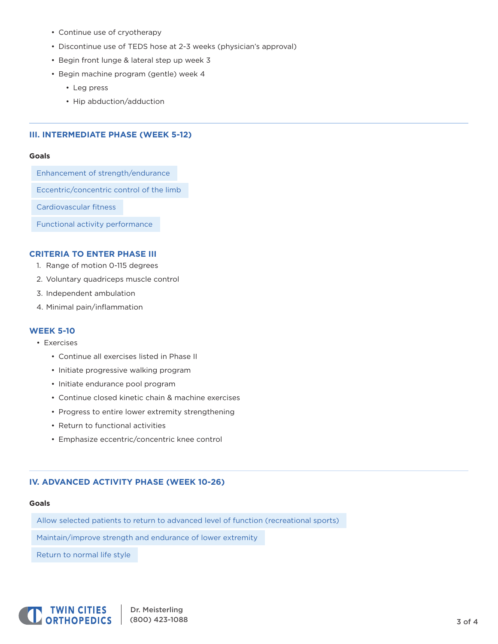- Continue use of cryotherapy
- Discontinue use of TEDS hose at 2-3 weeks (physician's approval)
- Begin front lunge & lateral step up week 3
- Begin machine program (gentle) week 4
	- Leg press
	- Hip abduction/adduction

## **III. INTERMEDIATE PHASE (WEEK 5-12)**

#### **Goals**

Enhancement of strength/endurance

Eccentric/concentric control of the limb

Cardiovascular fitness

Functional activity performance

#### **CRITERIA TO ENTER PHASE III**

- 1. Range of motion 0-115 degrees
- 2. Voluntary quadriceps muscle control
- 3. Independent ambulation
- 4. Minimal pain/inflammation

## **WEEK 5-10**

- Exercises
	- Continue all exercises listed in Phase II
	- Initiate progressive walking program
	- Initiate endurance pool program
	- Continue closed kinetic chain & machine exercises
	- Progress to entire lower extremity strengthening
	- Return to functional activities
	- Emphasize eccentric/concentric knee control

## **IV. ADVANCED ACTIVITY PHASE (WEEK 10-26)**

#### **Goals**

Allow selected patients to return to advanced level of function (recreational sports)

Maintain/improve strength and endurance of lower extremity

Return to normal life style